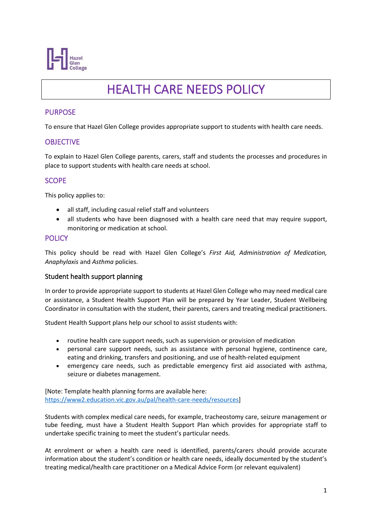

# HEALTH CARE NEEDS POLICY

## PURPOSE

To ensure that Hazel Glen College provides appropriate support to students with health care needs.

## **OBJECTIVE**

To explain to Hazel Glen College parents, carers, staff and students the processes and procedures in place to support students with health care needs at school.

#### SCOPE

This policy applies to:

- all staff, including casual relief staff and volunteers
- all students who have been diagnosed with a health care need that may require support, monitoring or medication at school.

#### POLICY

This policy should be read with Hazel Glen College's *First Aid, Administration of Medication, Anaphylaxis* and *Asthma* policies.

#### Student health support planning

In order to provide appropriate support to students at Hazel Glen College who may need medical care or assistance, a Student Health Support Plan will be prepared by Year Leader, Student Wellbeing Coordinator in consultation with the student, their parents, carers and treating medical practitioners.

Student Health Support plans help our school to assist students with:

- routine health care support needs, such as supervision or provision of medication
- personal care support needs, such as assistance with personal hygiene, continence care, eating and drinking, transfers and positioning, and use of health-related equipment
- emergency care needs, such as predictable emergency first aid associated with asthma, seizure or diabetes management.

[Note: Template health planning forms are available here: [https://www2.education.vic.gov.au/pal/health-care-needs/resources\]](https://www2.education.vic.gov.au/pal/health-care-needs/resources)

Students with complex medical care needs, for example, tracheostomy care, seizure management or tube feeding, must have a Student Health Support Plan which provides for appropriate staff to undertake specific training to meet the student's particular needs.

At enrolment or when a health care need is identified, parents/carers should provide accurate information about the student's condition or health care needs, ideally documented by the student's treating medical/health care practitioner on a Medical Advice Form (or relevant equivalent)